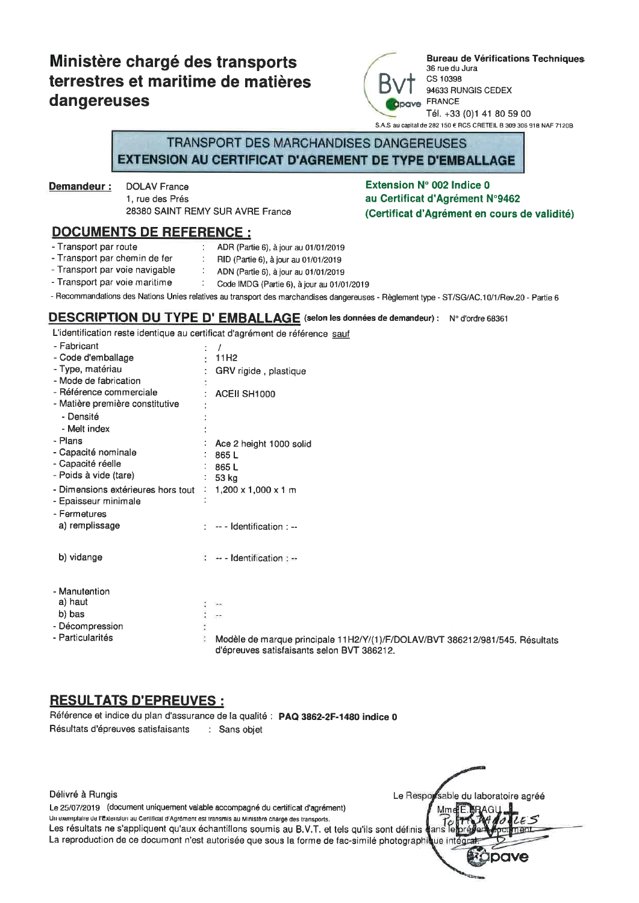# Ministère chargé des transports terrestres et maritime de matières dangereuses



**Bureau de Vérifications Techniques** 36 rue du Jura. CS 10398 94633 RUNGIS CEDEX **FRANCE** Tél. +33 (0)1 41 80 59 00 S.A.S au capital de 282 150 € RCS CRETEIL B 309 306 918 NAF 7120B

### TRANSPORT DES MARCHANDISES DANGEREUSES **EXTENSION AU CERTIFICAT D'AGREMENT DE TYPE D'EMBALLAGE**

Demandeur:

**DOLAV France** 1. rue des Prés 28380 SAINT REMY SUR AVRE France

#### Extension N° 002 Indice 0 au Certificat d'Agrément N°9462 (Certificat d'Agrément en cours de validité)

- **DOCUMENTS DE REFERENCE:**
- Transport par route
	- ADR (Partie 6), à jour au 01/01/2019
- Transport par chemin de fer RID (Partie 6), à jour au 01/01/2019 - Transport par voie navigable
- ADN (Partie 6), à jour au 01/01/2019 - Transport par voie maritime  $\pm$
- Code IMDG (Partie 6), à jour au 01/01/2019
- Recommandations des Nations Unies relatives au transport des marchandises dangereuses Règlement type ST/SG/AC.10/1/Rev.20 Partie 6

#### DESCRIPTION DU TYPE D'EMBALLAGE (selon les données de demandeur) : N° d'ordre 68361

L'identification reste identique au certificat d'agrément de référence sauf

| - Fabricant<br>- Code d'emballage  | 11H <sub>2</sub>                                                                                                           |
|------------------------------------|----------------------------------------------------------------------------------------------------------------------------|
| - Type, matériau                   |                                                                                                                            |
| - Mode de fabrication              | GRV rigide, plastique                                                                                                      |
|                                    |                                                                                                                            |
| - Référence commerciale            | ACEII SH1000                                                                                                               |
| - Matière première constitutive    |                                                                                                                            |
| - Densité                          |                                                                                                                            |
| - Melt index                       |                                                                                                                            |
| - Plans                            | Ace 2 height 1000 solid                                                                                                    |
| - Capacité nominale                | 865L                                                                                                                       |
| - Capacité réelle                  | 865L                                                                                                                       |
| - Poids à vide (tare)              | 53 kg                                                                                                                      |
| - Dimensions extérieures hors tout | $1,200 \times 1,000 \times 1$ m                                                                                            |
| - Epaisseur minimale               |                                                                                                                            |
| - Fermetures                       |                                                                                                                            |
| a) remplissage                     | -- - Identification : --                                                                                                   |
|                                    |                                                                                                                            |
| b) vidange                         | $\cdots$ - Identification : $\cdots$                                                                                       |
|                                    |                                                                                                                            |
| - Manutention                      |                                                                                                                            |
| a) haut                            | $\cdots$                                                                                                                   |
| b) bas                             | ee.                                                                                                                        |
| - Décompression                    |                                                                                                                            |
| - Particularités                   |                                                                                                                            |
|                                    | Modèle de marque principale 11H2/Y/(1)/F/DOLAV/BVT 386212/981/545. Résultats<br>d'épreuves satisfaisants selon BVT 386212. |

## **RESULTATS D'EPREUVES :**

Référence et indice du plan d'assurance de la qualité : PAQ 3862-2F-1480 indice 0 Résultats d'épreuves satisfaisants : Sans objet

Délivré à Rungis Le Respo sable du laboratoire agréé Le 25/07/2019 (document uniquement valable accompagné du certificat d'agrément) Mm Un exemplaire de l'Extension au Certificat d'Agrément est transmis au Ministère charge des transports. Les résultats ne s'appliquent qu'aux échantillons soumis au B.V.T. et tels qu'ils sont définis l lans La reproduction de ce document n'est autorisée que sous la forme de fac-similé photographie ue inté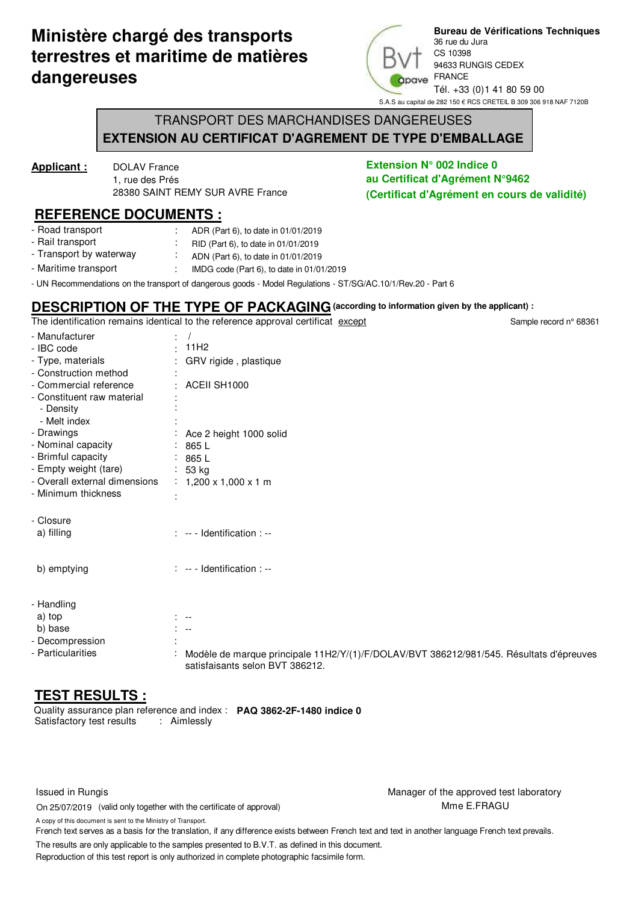# **Ministère chargé des transports terrestres et maritime de matières dangereuses**



**Bureau de Vérifications Techniques** 36 rue du Jura CS 10398 94633 RUNGIS CEDEX FRANCE Tél. +33 (0)1 41 80 59 00 S.A.S au capital de 282 150 € RCS CRETEIL B 309 306 918 NAF 7120B

Sample record n° 68361

### TRANSPORT DES MARCHANDISES DANGEREUSES **EXTENSION AU CERTIFICAT D'AGREMENT DE TYPE D'EMBALLAGE**

**Applicant :** DOLAV France 1, rue des Prés 28380 SAINT REMY SUR AVRE France

#### **REFERENCE DOCUMENTS :**

- : : - Road transport - Rail transport ADR (Part 6), to date in 01/01/2019 RID (Part 6), to date in 01/01/2019
- : : - Maritime transport - Transport by waterway ADN (Part 6), to date in 01/01/2019
- UN Recommendations on the transport of dangerous goods Model Regulations ST/SG/AC.10/1/Rev.20 Part 6 IMDG code (Part 6), to date in 01/01/2019

## **DESCRIPTION OF THE TYPE OF PACKAGING(according to information given by the applicant) :**

The identification remains identical to the reference approval certificat except

- Manufacturer - IBC code - Type, materials - Construction method - Commercial reference - Constituent raw material - Drawings - Nominal capacity - Brimful capacity - Empty weight (tare) - Overall external dimensions - Minimum thickness - Closure : : : : : : : Ace 2 height 1000 solid : 865 L : 865 L : 53 kg : 1,200 x 1,000 x 1 m : 11H2 ACEII SH1000 / GRV rigide, plastique - Decompression - Particularities : : Modèle de marque principale 11H2/Y/(1)/F/DOLAV/BVT 386212/981/545. Résultats d'épreuves satisfaisants selon BVT 386212. a) filling b) emptying : -- - Identification : -- : -- - Identification : -- - Handling a) top b) base : -- : -- : : - Density - Melt index

### **TEST RESULTS :**

Satisfactory test results : Aimlessly Quality assurance plan reference and index : **PAQ 3862-2F-1480 indice 0**

On 25/07/2019 (valid only together with the certificate of approval)

Issued in Rungis **Issued in Rungis** Manager of the approved test laboratory Mme E.FRAGU

A copy of this document is sent to the Ministry of Transport.

French text serves as a basis for the translation, if any difference exists between French text and text in another language French text prevails.

The results are only applicable to the samples presented to B.V.T. as defined in this document.

Reproduction of this test report is only authorized in complete photographic facsimile form.

**Extension N° 002 Indice 0 au Certificat d'Agrément N°9462 (Certificat d'Agrément en cours de validité)**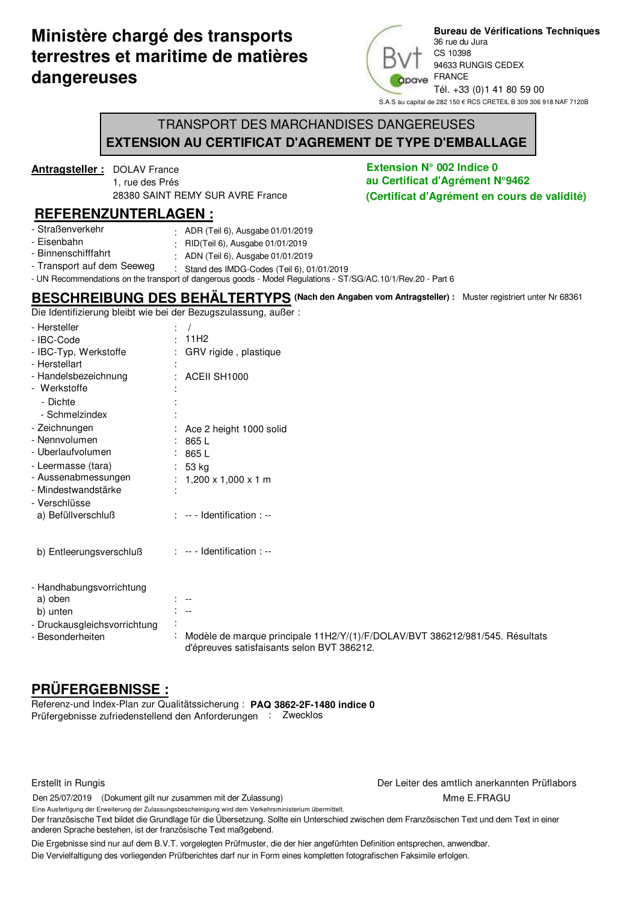## **Ministère chargé des transports terrestres et maritime de matières dangereuses**



**Bureau de Vérifications Techniques** 36 rue du Jura CS 10398 94633 RUNGIS CEDEX FRANCE Tél. +33 (0)1 41 80 59 00 S.A.S au capital de 282 150 € RCS CRETEIL B 309 306 918 NAF 7120B

### TRANSPORT DES MARCHANDISES DANGEREUSES **EXTENSION AU CERTIFICAT D'AGREMENT DE TYPE D'EMBALLAGE**

**Antragsteller :** DOLAV France 1, rue des Prés 28380 SAINT REMY SUR AVRE France

#### **REFERENZUNTERLAGEN :**

| - Straßenverkehr            | $\cdot$ ADR (Teil 6), Ausgabe 01/01/2019 |  |
|-----------------------------|------------------------------------------|--|
| المتمارين والمتروب والألتان |                                          |  |

- Eisenbahn : RID(Teil 6), Ausgabe 01/01/2019
- Binnenschifffahrt : ADN (Teil 6), Ausgabe 01/01/2019
- Transport auf dem Seeweg : Stand des IMDG-Codes (Teil 6), 01/01/2019

- UN Recommendations on the transport of dangerous goods - Model Regulations - ST/SG/AC.10/1/Rev.20 - Part 6

## **BESCHREIBUNG DES BEHÄLTERTYPS (Nach den Angaben vom Antragsteller) :** Muster registriert unter Nr 68361

Die Identifizierung bleibt wie bei der Bezugszulassung, außer :

| - Hersteller<br>- IBC-Code                 | 11H <sub>2</sub>                                                             |  |
|--------------------------------------------|------------------------------------------------------------------------------|--|
| - IBC-Typ, Werkstoffe                      | GRV rigide, plastique                                                        |  |
| - Herstellart                              |                                                                              |  |
| - Handelsbezeichnung                       | : ACEII SH1000                                                               |  |
| - Werkstoffe<br>- Dichte                   |                                                                              |  |
| - Schmelzindex                             |                                                                              |  |
| - Zeichnungen                              | Ace 2 height 1000 solid                                                      |  |
| - Nennvolumen                              | 865 L                                                                        |  |
| - Uberlaufvolumen                          | :865L                                                                        |  |
| - Leermasse (tara)                         | : 53 kg                                                                      |  |
| - Aussenabmessungen<br>- Mindestwandstärke | $1,200 \times 1,000 \times 1$ m                                              |  |
| - Verschlüsse                              |                                                                              |  |
| a) Befüllverschluß                         | $\therefore$ -- - Identification : --                                        |  |
|                                            |                                                                              |  |
|                                            | $: -$ - Identification $: -$                                                 |  |
| b) Entleerungsverschluß                    |                                                                              |  |
|                                            |                                                                              |  |
| - Handhabungsvorrichtung                   |                                                                              |  |
| a) oben                                    | $\overline{\phantom{a}}$<br>$\overline{\phantom{a}}$                         |  |
| b) unten<br>- Druckausgleichsvorrichtung   |                                                                              |  |
| Besonderheiten                             | Modèle de marque principale 11H2/Y/(1)/F/DOLAV/BVT 386212/981/545. Résultats |  |
|                                            | d'épreuves satisfaisants selon BVT 386212.                                   |  |
|                                            |                                                                              |  |

## **PRÜFERGEBNISSE :**

Prüfergebnisse zufriedenstellend den Anforderungen : Zwecklos Referenz-und Index-Plan zur Qualitätssicherung : **PAQ 3862-2F-1480 indice 0**

Erstellt in Rungis Der Leiter des amtlich anerkannten Prüflabors

Den 25/07/2019 (Dokument gilt nur zusammen mit der Zulassung)

Mme E.FRAGU Eine Ausfertigung der Erweiterung der Zulassungsbescheinigung wird dem Verkehrsministerium übermittelt.

Der französische Text bildet die Grundlage für die Übersetzung. Sollte ein Unterschied zwischen dem Französischen Text und dem Text in einer anderen Sprache bestehen, ist der französische Text maßgebend.

Die Ergebnisse sind nur auf dem B.V.T. vorgelegten Prüfmuster, die der hier angefürhten Definition entsprechen, anwendbar. Die Vervielfaltigung des vorliegenden Prüfberichtes darf nur in Form eines kompletten fotografischen Faksimile erfolgen.

**Extension N° 002 Indice 0 au Certificat d'Agrément N°9462 (Certificat d'Agrément en cours de validité)**